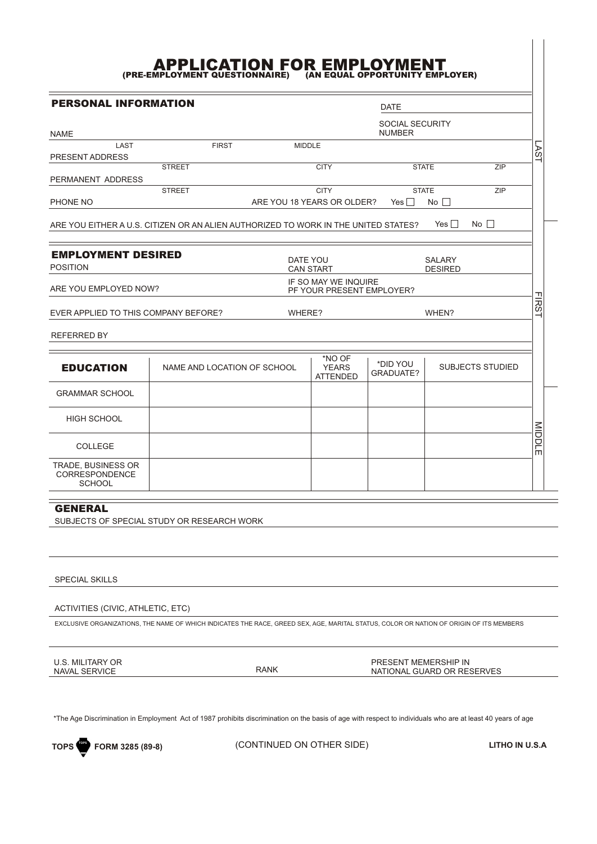## (PRE-EMPLOYMENT QUESTIONNAIRE) (AN EQUAL OPPORTUNITY EMPLOYER)

PERSONAL INFORMATION DATE SOCIAL SECURITY<br>NUMBER NAME NUMBER NEWSFILM AND THE SERVICE SERVICE SERVICE SERVICE SERVICE SERVICE SERVICE SERVICE SERVICE SERVICE S LAST FIRST MIDDLE LAST PRESENT ADDRESS **STREET CITY STATE**  $\overline{ZIP}$ PERMANENT ADDRESS **STREET CITY STATE** ZIP PHONE NO ARE YOU 18 YEARS OR OLDER? Yes O No O ARE YOU EITHER A U.S. CITIZEN OR AN ALIEN AUTHORIZED TO WORK IN THE UNITED STATES? Yes  $\Omega$  No  $\Omega$ Yes O EMPLOYMENT DESIRED DATE YOU SALARY POSITION CAN START DESIRED IF SO MAY WE INQUIRE ARE YOU EMPLOYED NOW? PF YOUR PRESENT EMPLOYER? **FIRS** EVER APPLIED TO THIS COMPANY BEFORE? WHERE? WHEN? REFERRED BY \*NO OF \*DID YOU EDUCATION NAME AND LOCATION OF SCHOOL | YEARS | \*DID YOU | SUBJECTS STUDIED YEARS GRADUATE? ATTENDED GRAMMAR SCHOOL HIGH SCHOOL MIDDI MIDDLE<br>M COLLEGE 'n TRADE, BUSINESS OR CORRESPONDENCE **SCHOOL** 

GENERAL SUBJECTS OF SPECIAL STUDY OR RESEARCH WORK

SPECIAL SKILLS

ACTIVITIES (CIVIC, ATHLETIC, ETC)

EXCLUSIVE ORGANIZATIONS, THE NAME OF WHICH INDICATES THE RACE, GREED SEX, AGE, MARITAL STATUS, COLOR OR NATION OF ORIGIN OF ITS MEMBERS

U.S. MILITARY OR NAVAL SERVICE RANK PRESENT MEMERSHIP IN NATIONAL GUARD OR RESERVES

\*The Age Discrimination in Employment Act of 1987 prohibits discrimination on the basis of age with respect to individuals who are at least 40 years of age